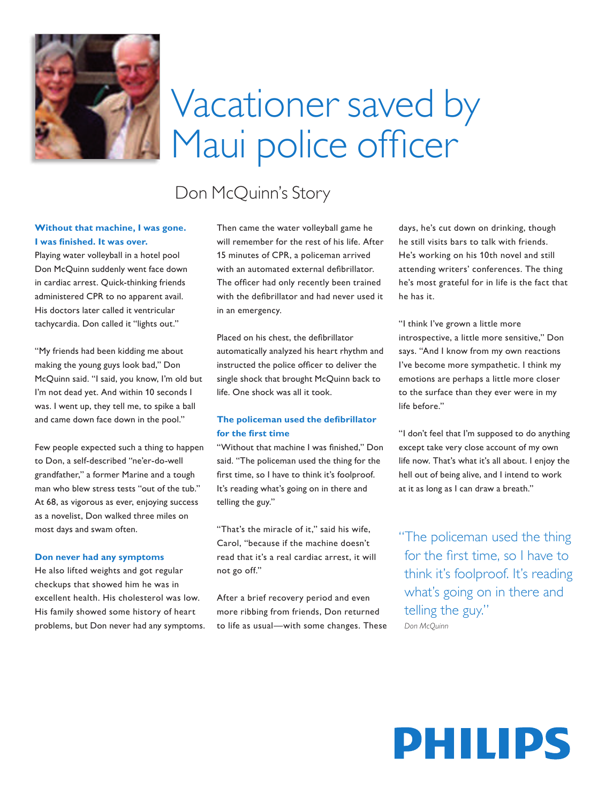

# Vacationer saved by Maui police officer

## Don McQuinn's Story

### **Without that machine, I was gone. I was finished. It was over.**

Playing water volleyball in a hotel pool Don McQuinn suddenly went face down in cardiac arrest. Quick-thinking friends administered CPR to no apparent avail. His doctors later called it ventricular tachycardia. Don called it "lights out."

"My friends had been kidding me about making the young guys look bad," Don McQuinn said. "I said, you know, I'm old but I'm not dead yet. And within 10 seconds I was. I went up, they tell me, to spike a ball and came down face down in the pool."

Few people expected such a thing to happen to Don, a self-described "ne'er-do-well grandfather," a former Marine and a tough man who blew stress tests "out of the tub." At 68, as vigorous as ever, enjoying success as a novelist, Don walked three miles on most days and swam often.

#### **Don never had any symptoms**

He also lifted weights and got regular checkups that showed him he was in excellent health. His cholesterol was low. His family showed some history of heart problems, but Don never had any symptoms. Then came the water volleyball game he will remember for the rest of his life. After 15 minutes of CPR, a policeman arrived with an automated external defibrillator. The officer had only recently been trained with the defibrillator and had never used it in an emergency.

Placed on his chest, the defibrillator automatically analyzed his heart rhythm and instructed the police officer to deliver the single shock that brought McQuinn back to life. One shock was all it took.

### **The policeman used the defibrillator for the first time**

"Without that machine I was finished." Don said. "The policeman used the thing for the first time, so I have to think it's foolproof. It's reading what's going on in there and telling the guy."

"That's the miracle of it," said his wife, Carol, "because if the machine doesn't read that it's a real cardiac arrest, it will not go off."

After a brief recovery period and even more ribbing from friends, Don returned to life as usual—with some changes. These days, he's cut down on drinking, though he still visits bars to talk with friends. He's working on his 10th novel and still attending writers' conferences. The thing he's most grateful for in life is the fact that he has it.

"I think I've grown a little more introspective, a little more sensitive," Don says. "And I know from my own reactions I've become more sympathetic. I think my emotions are perhaps a little more closer to the surface than they ever were in my life before."

"I don't feel that I'm supposed to do anything except take very close account of my own life now. That's what it's all about. I enjoy the hell out of being alive, and I intend to work at it as long as I can draw a breath."

"The policeman used the thing for the first time, so I have to think it's foolproof. It's reading what's going on in there and telling the guy."  *Don McQuinn*